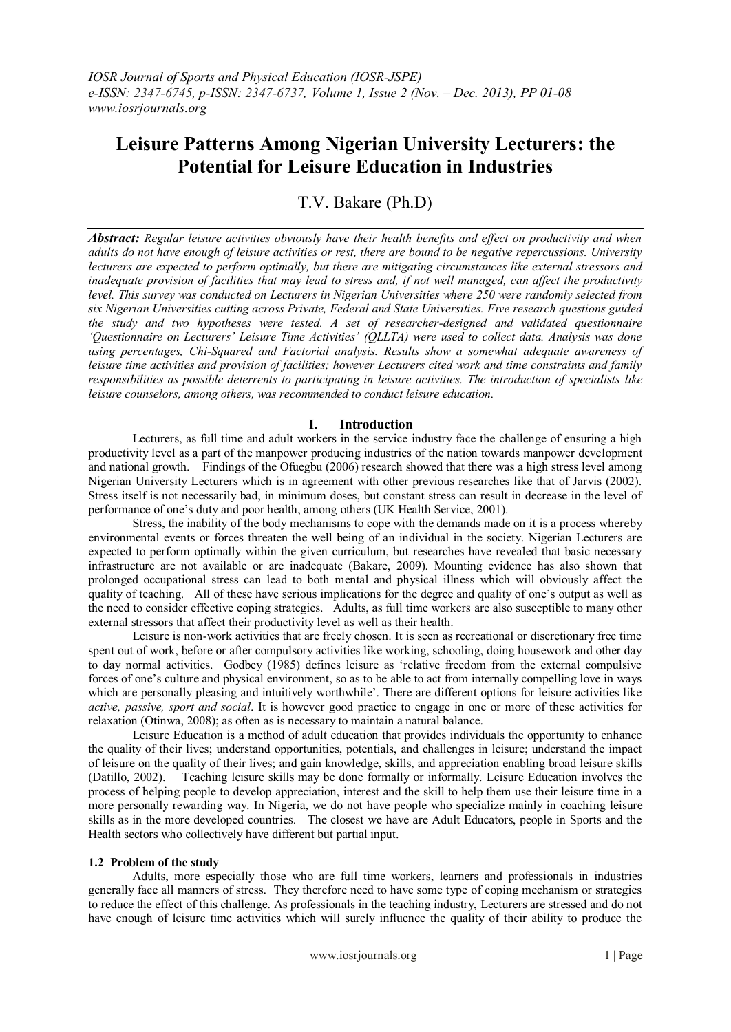# **Leisure Patterns Among Nigerian University Lecturers: the Potential for Leisure Education in Industries**

T.V. Bakare (Ph.D)

*Abstract: Regular leisure activities obviously have their health benefits and effect on productivity and when adults do not have enough of leisure activities or rest, there are bound to be negative repercussions. University lecturers are expected to perform optimally, but there are mitigating circumstances like external stressors and inadequate provision of facilities that may lead to stress and, if not well managed, can affect the productivity level. This survey was conducted on Lecturers in Nigerian Universities where 250 were randomly selected from six Nigerian Universities cutting across Private, Federal and State Universities. Five research questions guided the study and two hypotheses were tested. A set of researcher-designed and validated questionnaire 'Questionnaire on Lecturers' Leisure Time Activities' (QLLTA) were used to collect data. Analysis was done using percentages, Chi-Squared and Factorial analysis. Results show a somewhat adequate awareness of leisure time activities and provision of facilities; however Lecturers cited work and time constraints and family responsibilities as possible deterrents to participating in leisure activities. The introduction of specialists like leisure counselors, among others, was recommended to conduct leisure education.*

### **I. Introduction**

Lecturers, as full time and adult workers in the service industry face the challenge of ensuring a high productivity level as a part of the manpower producing industries of the nation towards manpower development and national growth. Findings of the Ofuegbu (2006) research showed that there was a high stress level among Nigerian University Lecturers which is in agreement with other previous researches like that of Jarvis (2002). Stress itself is not necessarily bad, in minimum doses, but constant stress can result in decrease in the level of performance of one's duty and poor health, among others (UK Health Service, 2001).

Stress, the inability of the body mechanisms to cope with the demands made on it is a process whereby environmental events or forces threaten the well being of an individual in the society. Nigerian Lecturers are expected to perform optimally within the given curriculum, but researches have revealed that basic necessary infrastructure are not available or are inadequate (Bakare, 2009). Mounting evidence has also shown that prolonged occupational stress can lead to both mental and physical illness which will obviously affect the quality of teaching. All of these have serious implications for the degree and quality of one's output as well as the need to consider effective coping strategies. Adults, as full time workers are also susceptible to many other external stressors that affect their productivity level as well as their health.

Leisure is non-work activities that are freely chosen. It is seen as recreational or discretionary free time spent out of work, before or after compulsory activities like working, schooling, doing housework and other day to day normal activities. Godbey (1985) defines leisure as 'relative freedom from the external compulsive forces of one's culture and physical environment, so as to be able to act from internally compelling love in ways which are personally pleasing and intuitively worthwhile'. There are different options for leisure activities like *active, passive, sport and social*. It is however good practice to engage in one or more of these activities for relaxation (Otinwa, 2008); as often as is necessary to maintain a natural balance.

Leisure Education is a method of adult education that provides individuals the opportunity to enhance the quality of their lives; understand opportunities, potentials, and challenges in leisure; understand the impact of leisure on the quality of their lives; and gain knowledge, skills, and appreciation enabling broad leisure skills (Datillo, 2002). Teaching leisure skills may be done formally or informally. Leisure Education involves the process of helping people to develop appreciation, interest and the skill to help them use their leisure time in a more personally rewarding way. In Nigeria, we do not have people who specialize mainly in coaching leisure skills as in the more developed countries. The closest we have are Adult Educators, people in Sports and the Health sectors who collectively have different but partial input.

#### **1.2 Problem of the study**

Adults, more especially those who are full time workers, learners and professionals in industries generally face all manners of stress. They therefore need to have some type of coping mechanism or strategies to reduce the effect of this challenge. As professionals in the teaching industry, Lecturers are stressed and do not have enough of leisure time activities which will surely influence the quality of their ability to produce the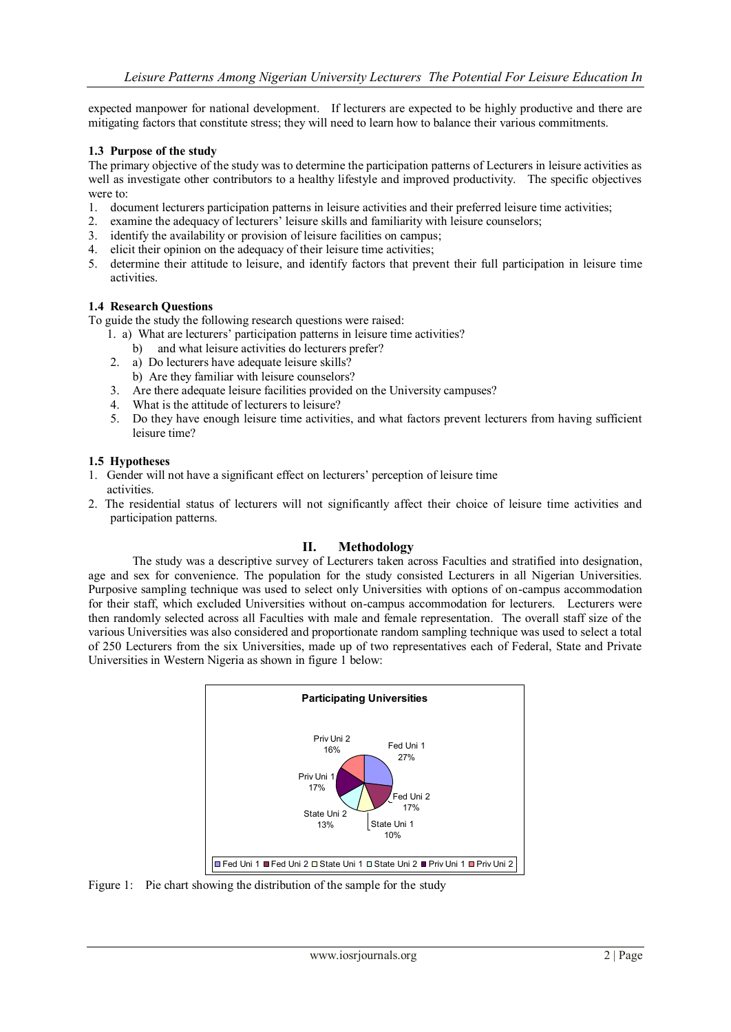expected manpower for national development. If lecturers are expected to be highly productive and there are mitigating factors that constitute stress; they will need to learn how to balance their various commitments.

#### **1.3 Purpose of the study**

The primary objective of the study was to determine the participation patterns of Lecturers in leisure activities as well as investigate other contributors to a healthy lifestyle and improved productivity. The specific objectives were to:

- 1. document lecturers participation patterns in leisure activities and their preferred leisure time activities;<br>2. examine the adequacy of lecturers' leisure skills and familiarity with leisure counselors;
- examine the adequacy of lecturers' leisure skills and familiarity with leisure counselors;
- 3. identify the availability or provision of leisure facilities on campus;
- 4. elicit their opinion on the adequacy of their leisure time activities;
- 5. determine their attitude to leisure, and identify factors that prevent their full participation in leisure time activities.

#### **1.4 Research Questions**

To guide the study the following research questions were raised:

- 1. a) What are lecturers' participation patterns in leisure time activities?
	- b) and what leisure activities do lecturers prefer?
- 2. a) Do lecturers have adequate leisure skills?
- b) Are they familiar with leisure counselors?
- 3. Are there adequate leisure facilities provided on the University campuses?
- 4. What is the attitude of lecturers to leisure?
- 5. Do they have enough leisure time activities, and what factors prevent lecturers from having sufficient leisure time?

#### **1.5 Hypotheses**

- 1. Gender will not have a significant effect on lecturers' perception of leisure time activities.
- 2. The residential status of lecturers will not significantly affect their choice of leisure time activities and participation patterns.

#### **II. Methodology**

The study was a descriptive survey of Lecturers taken across Faculties and stratified into designation, age and sex for convenience. The population for the study consisted Lecturers in all Nigerian Universities. Purposive sampling technique was used to select only Universities with options of on-campus accommodation for their staff, which excluded Universities without on-campus accommodation for lecturers. Lecturers were then randomly selected across all Faculties with male and female representation. The overall staff size of the various Universities was also considered and proportionate random sampling technique was used to select a total of 250 Lecturers from the six Universities, made up of two representatives each of Federal, State and Private Universities in Western Nigeria as shown in figure 1 below:



Figure 1: Pie chart showing the distribution of the sample for the study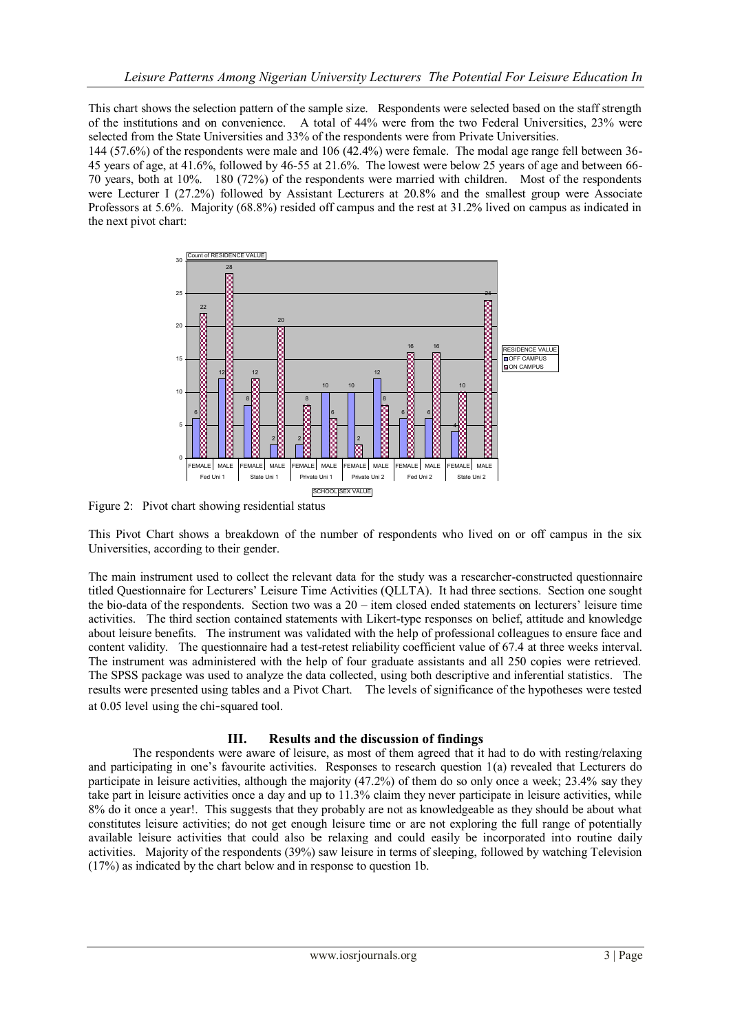This chart shows the selection pattern of the sample size. Respondents were selected based on the staff strength of the institutions and on convenience. A total of 44% were from the two Federal Universities, 23% were selected from the State Universities and 33% of the respondents were from Private Universities.

144 (57.6%) of the respondents were male and 106 (42.4%) were female. The modal age range fell between 36- 45 years of age, at 41.6%, followed by 46-55 at 21.6%. The lowest were below 25 years of age and between 66- 70 years, both at 10%. 180 (72%) of the respondents were married with children. Most of the respondents were Lecturer I (27.2%) followed by Assistant Lecturers at 20.8% and the smallest group were Associate Professors at 5.6%. Majority (68.8%) resided off campus and the rest at 31.2% lived on campus as indicated in the next pivot chart:



Figure 2: Pivot chart showing residential status

This Pivot Chart shows a breakdown of the number of respondents who lived on or off campus in the six Universities, according to their gender.

The main instrument used to collect the relevant data for the study was a researcher-constructed questionnaire titled Questionnaire for Lecturers' Leisure Time Activities (QLLTA). It had three sections. Section one sought the bio-data of the respondents. Section two was a 20 – item closed ended statements on lecturers' leisure time activities. The third section contained statements with Likert-type responses on belief, attitude and knowledge about leisure benefits. The instrument was validated with the help of professional colleagues to ensure face and content validity. The questionnaire had a test-retest reliability coefficient value of 67.4 at three weeks interval. The instrument was administered with the help of four graduate assistants and all 250 copies were retrieved. The SPSS package was used to analyze the data collected, using both descriptive and inferential statistics. The results were presented using tables and a Pivot Chart. The levels of significance of the hypotheses were tested at 0.05 level using the chi-squared tool.

## **III. Results and the discussion of findings**

The respondents were aware of leisure, as most of them agreed that it had to do with resting/relaxing and participating in one's favourite activities. Responses to research question 1(a) revealed that Lecturers do participate in leisure activities, although the majority (47.2%) of them do so only once a week; 23.4% say they take part in leisure activities once a day and up to 11.3% claim they never participate in leisure activities, while 8% do it once a year!. This suggests that they probably are not as knowledgeable as they should be about what constitutes leisure activities; do not get enough leisure time or are not exploring the full range of potentially available leisure activities that could also be relaxing and could easily be incorporated into routine daily activities. Majority of the respondents (39%) saw leisure in terms of sleeping, followed by watching Television (17%) as indicated by the chart below and in response to question 1b.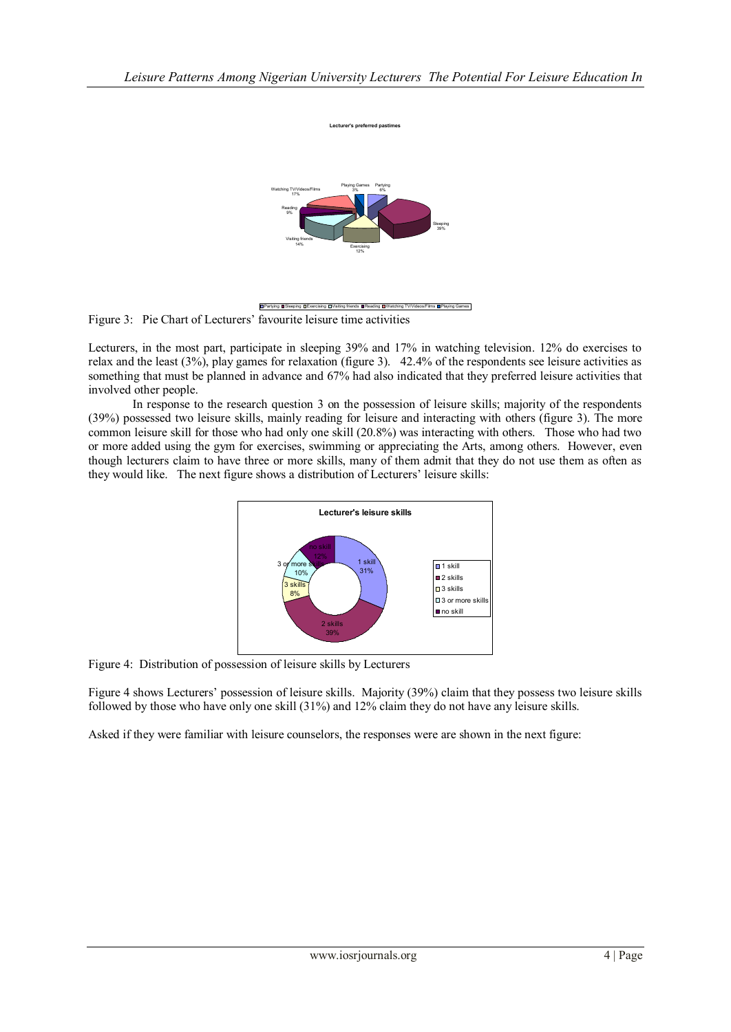

**Lecturer's preferred past** 

**BPartying ESleeping DExercising DVisiting friends BReading BWatching TV/V** 

Figure 3: Pie Chart of Lecturers' favourite leisure time activities

Lecturers, in the most part, participate in sleeping 39% and 17% in watching television. 12% do exercises to relax and the least (3%), play games for relaxation (figure 3). 42.4% of the respondents see leisure activities as something that must be planned in advance and 67% had also indicated that they preferred leisure activities that involved other people.

In response to the research question 3 on the possession of leisure skills; majority of the respondents (39%) possessed two leisure skills, mainly reading for leisure and interacting with others (figure 3). The more common leisure skill for those who had only one skill (20.8%) was interacting with others. Those who had two or more added using the gym for exercises, swimming or appreciating the Arts, among others. However, even though lecturers claim to have three or more skills, many of them admit that they do not use them as often as they would like. The next figure shows a distribution of Lecturers' leisure skills:



Figure 4: Distribution of possession of leisure skills by Lecturers

Figure 4 shows Lecturers' possession of leisure skills. Majority (39%) claim that they possess two leisure skills followed by those who have only one skill (31%) and 12% claim they do not have any leisure skills.

Asked if they were familiar with leisure counselors, the responses were are shown in the next figure: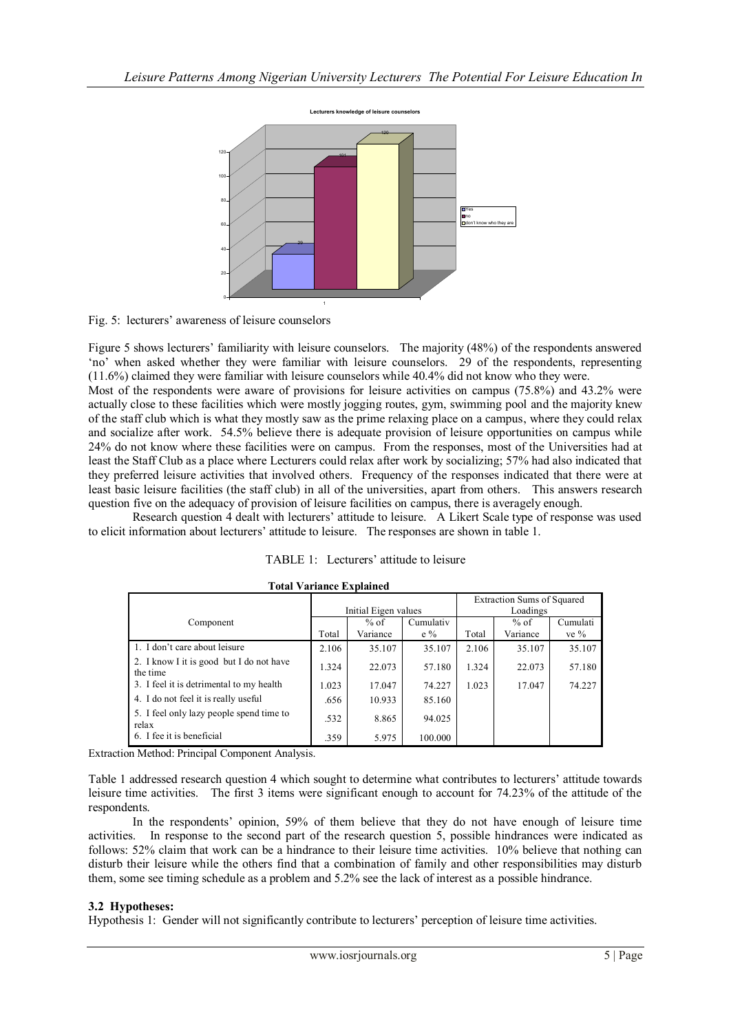

Fig. 5: lecturers' awareness of leisure counselors

Figure 5 shows lecturers' familiarity with leisure counselors. The majority (48%) of the respondents answered 'no' when asked whether they were familiar with leisure counselors. 29 of the respondents, representing (11.6%) claimed they were familiar with leisure counselors while 40.4% did not know who they were.

Most of the respondents were aware of provisions for leisure activities on campus (75.8%) and 43.2% were actually close to these facilities which were mostly jogging routes, gym, swimming pool and the majority knew of the staff club which is what they mostly saw as the prime relaxing place on a campus, where they could relax and socialize after work. 54.5% believe there is adequate provision of leisure opportunities on campus while 24% do not know where these facilities were on campus. From the responses, most of the Universities had at least the Staff Club as a place where Lecturers could relax after work by socializing; 57% had also indicated that they preferred leisure activities that involved others. Frequency of the responses indicated that there were at least basic leisure facilities (the staff club) in all of the universities, apart from others. This answers research question five on the adequacy of provision of leisure facilities on campus, there is averagely enough.

Research question 4 dealt with lecturers' attitude to leisure. A Likert Scale type of response was used to elicit information about lecturers' attitude to leisure. The responses are shown in table 1.

|                                                      |                      |          |           | <b>Extraction Sums of Squared</b> |          |          |
|------------------------------------------------------|----------------------|----------|-----------|-----------------------------------|----------|----------|
|                                                      | Initial Eigen values |          |           | Loadings                          |          |          |
| Component                                            |                      | % of     | Cumulativ |                                   | % of     | Cumulati |
|                                                      | Total                | Variance | $e\%$     | Total                             | Variance | ve $\%$  |
| 1. I don't care about leisure                        | 2.106                | 35.107   | 35.107    | 2.106                             | 35.107   | 35.107   |
| 2. I know I it is good but I do not have<br>the time | 1.324                | 22.073   | 57.180    | 1.324                             | 22.073   | 57.180   |
| 3. I feel it is detrimental to my health             | 1.023                | 17.047   | 74.227    | 1.023                             | 17.047   | 74.227   |
| 4. I do not feel it is really useful                 | .656                 | 10.933   | 85.160    |                                   |          |          |
| 5. I feel only lazy people spend time to<br>relax    | .532                 | 8.865    | 94.025    |                                   |          |          |
| 6. I fee it is beneficial                            | .359                 | 5.975    | 100.000   |                                   |          |          |

|  | <b>Total Variance Explained</b> |
|--|---------------------------------|
|--|---------------------------------|

Extraction Method: Principal Component Analysis.

Table 1 addressed research question 4 which sought to determine what contributes to lecturers' attitude towards leisure time activities. The first 3 items were significant enough to account for 74.23% of the attitude of the respondents.

In the respondents' opinion, 59% of them believe that they do not have enough of leisure time activities. In response to the second part of the research question 5, possible hindrances were indicated as follows: 52% claim that work can be a hindrance to their leisure time activities. 10% believe that nothing can disturb their leisure while the others find that a combination of family and other responsibilities may disturb them, some see timing schedule as a problem and 5.2% see the lack of interest as a possible hindrance.

#### **3.2 Hypotheses:**

Hypothesis 1: Gender will not significantly contribute to lecturers' perception of leisure time activities.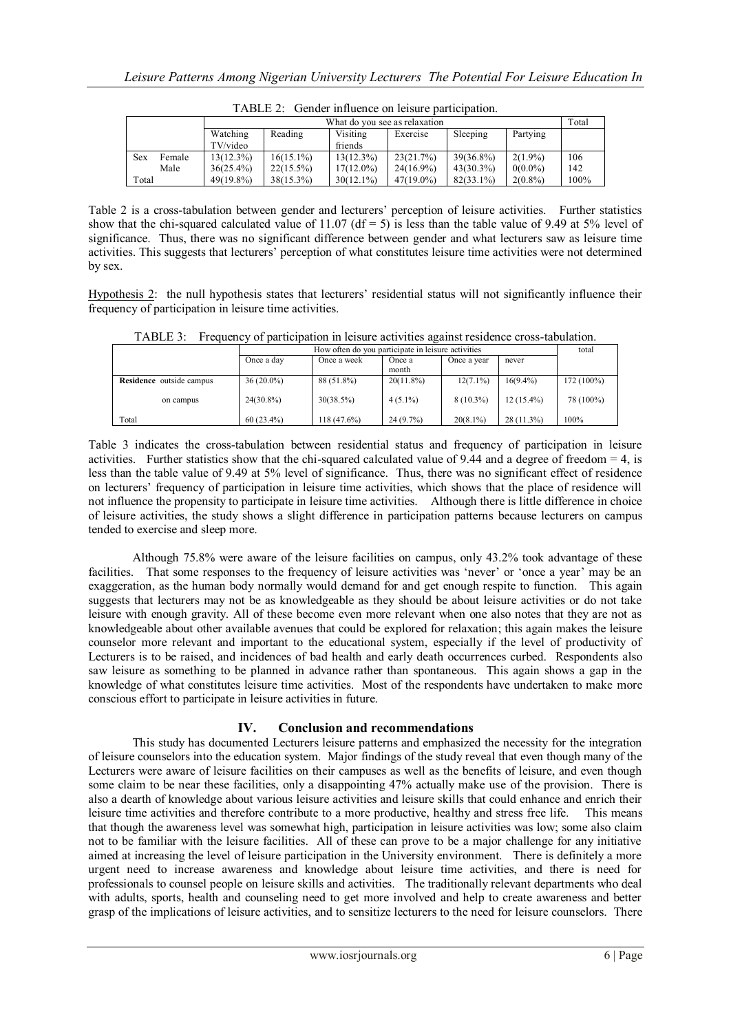|       | <u>UWILMBI IIIIKUBILDU UII IBIUBI D WA VIBIUBULUI.</u> |                               |              |              |              |              |            |       |
|-------|--------------------------------------------------------|-------------------------------|--------------|--------------|--------------|--------------|------------|-------|
|       |                                                        | What do you see as relaxation |              |              |              |              |            | Total |
|       |                                                        | Watching                      | Reading      | Visiting     | Exercise     | Sleeping     | Partying   |       |
|       |                                                        | TV/video                      |              | friends      |              |              |            |       |
| Sex   | Female                                                 | 13(12.3%)                     | $16(15.1\%)$ | $13(12.3\%)$ | 23(21.7%)    | $39(36.8\%)$ | $2(1.9\%)$ | 106   |
|       | Male                                                   | $36(25.4\%)$                  | $22(15.5\%)$ | $17(12.0\%)$ | $24(16.9\%)$ | $43(30.3\%)$ | $0(0.0\%)$ | 142   |
| Total |                                                        | $49(19.8\%)$                  | $38(15.3\%)$ | $30(12.1\%)$ | $47(19.0\%)$ | $82(33.1\%)$ | $2(0.8\%)$ | 100%  |

TABLE 2: Gender influence on leisure participation.

Table 2 is a cross-tabulation between gender and lecturers' perception of leisure activities. Further statistics show that the chi-squared calculated value of 11.07 (df = 5) is less than the table value of 9.49 at 5% level of significance. Thus, there was no significant difference between gender and what lecturers saw as leisure time activities. This suggests that lecturers' perception of what constitutes leisure time activities were not determined by sex.

Hypothesis 2: the null hypothesis states that lecturers' residential status will not significantly influence their frequency of participation in leisure time activities.

|                                 |              | total        |              |             |              |              |  |
|---------------------------------|--------------|--------------|--------------|-------------|--------------|--------------|--|
|                                 | Once a day   | Once a week  | Once a       | Once a year | never        |              |  |
|                                 |              |              | month        |             |              |              |  |
| <b>Residence</b> outside campus | $36(20.0\%)$ | 88 (51.8%)   | $20(11.8\%)$ | $12(7.1\%)$ | $16(9.4\%)$  | $172(100\%)$ |  |
| on campus                       | $24(30.8\%)$ | $30(38.5\%)$ | $4(5.1\%)$   | $8(10.3\%)$ | $12(15.4\%)$ | 78 (100%)    |  |
| Total                           | $60(23.4\%)$ | 118 (47.6%)  | $24(9.7\%)$  | $20(8.1\%)$ | $28(11.3\%)$ | 100%         |  |

TABLE 3: Frequency of participation in leisure activities against residence cross-tabulation.

Table 3 indicates the cross-tabulation between residential status and frequency of participation in leisure activities. Further statistics show that the chi-squared calculated value of 9.44 and a degree of freedom  $= 4$ , is less than the table value of 9.49 at 5% level of significance. Thus, there was no significant effect of residence on lecturers' frequency of participation in leisure time activities, which shows that the place of residence will not influence the propensity to participate in leisure time activities. Although there is little difference in choice of leisure activities, the study shows a slight difference in participation patterns because lecturers on campus tended to exercise and sleep more.

Although 75.8% were aware of the leisure facilities on campus, only 43.2% took advantage of these facilities. That some responses to the frequency of leisure activities was 'never' or 'once a year' may be an exaggeration, as the human body normally would demand for and get enough respite to function. This again suggests that lecturers may not be as knowledgeable as they should be about leisure activities or do not take leisure with enough gravity. All of these become even more relevant when one also notes that they are not as knowledgeable about other available avenues that could be explored for relaxation; this again makes the leisure counselor more relevant and important to the educational system, especially if the level of productivity of Lecturers is to be raised, and incidences of bad health and early death occurrences curbed. Respondents also saw leisure as something to be planned in advance rather than spontaneous. This again shows a gap in the knowledge of what constitutes leisure time activities. Most of the respondents have undertaken to make more conscious effort to participate in leisure activities in future.

## **IV. Conclusion and recommendations**

This study has documented Lecturers leisure patterns and emphasized the necessity for the integration of leisure counselors into the education system. Major findings of the study reveal that even though many of the Lecturers were aware of leisure facilities on their campuses as well as the benefits of leisure, and even though some claim to be near these facilities, only a disappointing 47% actually make use of the provision. There is also a dearth of knowledge about various leisure activities and leisure skills that could enhance and enrich their leisure time activities and therefore contribute to a more productive, healthy and stress free life. This means that though the awareness level was somewhat high, participation in leisure activities was low; some also claim not to be familiar with the leisure facilities. All of these can prove to be a major challenge for any initiative aimed at increasing the level of leisure participation in the University environment. There is definitely a more urgent need to increase awareness and knowledge about leisure time activities, and there is need for professionals to counsel people on leisure skills and activities. The traditionally relevant departments who deal with adults, sports, health and counseling need to get more involved and help to create awareness and better grasp of the implications of leisure activities, and to sensitize lecturers to the need for leisure counselors. There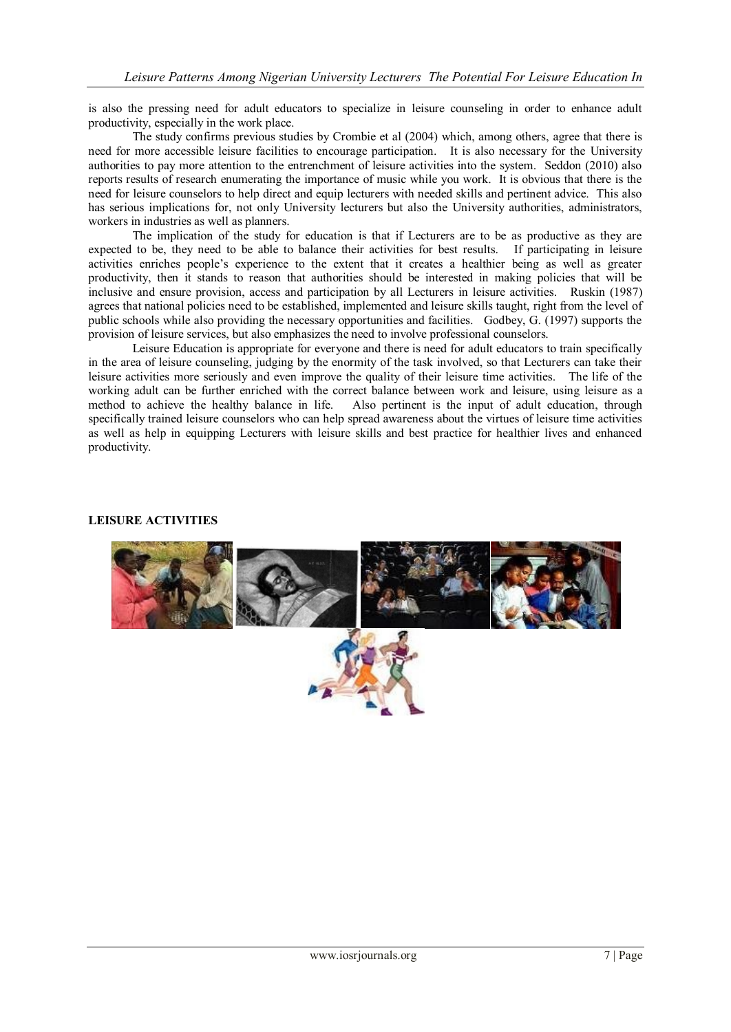is also the pressing need for adult educators to specialize in leisure counseling in order to enhance adult productivity, especially in the work place.

The study confirms previous studies by Crombie et al (2004) which, among others, agree that there is need for more accessible leisure facilities to encourage participation. It is also necessary for the University authorities to pay more attention to the entrenchment of leisure activities into the system. Seddon (2010) also reports results of research enumerating the importance of music while you work. It is obvious that there is the need for leisure counselors to help direct and equip lecturers with needed skills and pertinent advice. This also has serious implications for, not only University lecturers but also the University authorities, administrators, workers in industries as well as planners.

The implication of the study for education is that if Lecturers are to be as productive as they are expected to be, they need to be able to balance their activities for best results. If participating in leisure activities enriches people's experience to the extent that it creates a healthier being as well as greater productivity, then it stands to reason that authorities should be interested in making policies that will be inclusive and ensure provision, access and participation by all Lecturers in leisure activities. Ruskin (1987) agrees that national policies need to be established, implemented and leisure skills taught, right from the level of public schools while also providing the necessary opportunities and facilities. Godbey, G. (1997) supports the provision of leisure services, but also emphasizes the need to involve professional counselors.

Leisure Education is appropriate for everyone and there is need for adult educators to train specifically in the area of leisure counseling, judging by the enormity of the task involved, so that Lecturers can take their leisure activities more seriously and even improve the quality of their leisure time activities. The life of the working adult can be further enriched with the correct balance between work and leisure, using leisure as a method to achieve the healthy balance in life. Also pertinent is the input of adult education, through specifically trained leisure counselors who can help spread awareness about the virtues of leisure time activities as well as help in equipping Lecturers with leisure skills and best practice for healthier lives and enhanced productivity.

#### **LEISURE ACTIVITIES**